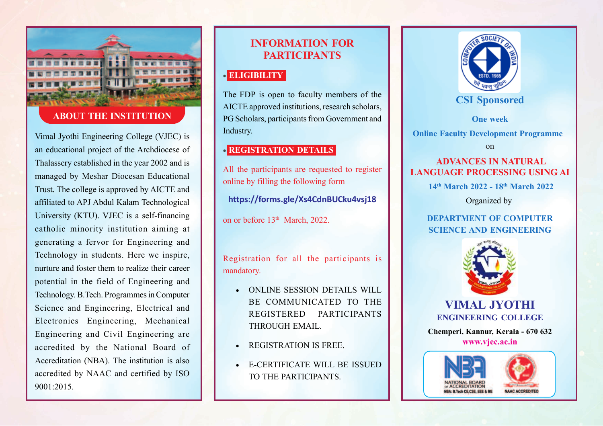

## **ABOUT THE INSTITUTION**

Vimal Jyothi Engineering College (VJEC) is an educational project of the Archdiocese of Thalassery established in the year 2002 and is managed by Meshar Diocesan Educational Trust. The college is approved by AICTE and affiliated to APJ Abdul Kalam Technological University (KTU). VJEC is a self-financing catholic minority institution aiming at generating a fervor for Engineering and Technology in students. Here we inspire, nurture and foster them to realize their career potential in the field of Engineering and Technology. B.Tech. Programmes in Computer Science and Engineering, Electrical and Electronics Engineering, Mechanical Engineering and Civil Engineering are accredited by the National Board of Accreditation (NBA). The institution is also accredited by NAAC and certified by ISO 9001:2015.

# **INFORMATION FOR PARTICIPANTS**

## • **ELIGIBILITY**

The FDP is open to faculty members of the AICTE approved institutions, research scholars, PG Scholars, participants from Government and Industry.

## • **REGISTRATION DETAILS**

All the participants are requested to register online by filling the following form

**https://forms.gle/Xs4CdnBUCku4vsj18**

on or before 13<sup>th</sup> March, 2022.

Registration for all the participants is mandatory.

- ONLINE SESSION DETAILS WILL BE COMMUNICATED TO THE REGISTERED PARTICIPANTS THROUGH EMAIL.
- REGISTRATION IS FREE.
- E-CERTIFICATE WILL BE ISSUED TO THE PARTICIPANTS.



# **CSI Sponsored**

**One week**

**Online Faculty Development Programme**

on

## **ADVANCES IN NATURAL LANGUAGE PROCESSING USING AI**

 **14th March 2022 - 18th March 2022**

Organized by

## **DEPARTMENT OF COMPUTER SCIENCE AND ENGINEERING**



**VIMAL JYOTHI ENGINEERING COLLEGE**

**Chemperi, Kannur, Kerala - 670 632 www.vjec.ac.in**